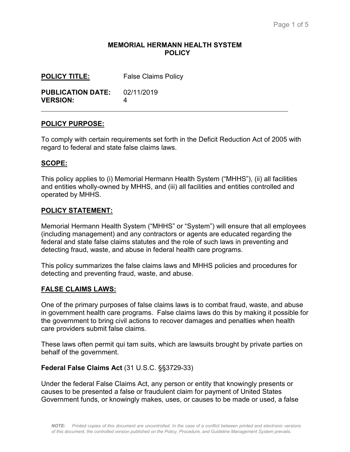#### **MEMORIAL HERMANN HEALTH SYSTEM POLICY**

| <b>POLICY TITLE:</b>     | <b>False Claims Policy</b> |
|--------------------------|----------------------------|
| <b>PUBLICATION DATE:</b> | 02/11/2019                 |
| <b>VERSION:</b>          | Δ                          |

#### **POLICY PURPOSE:**

To comply with certain requirements set forth in the Deficit Reduction Act of 2005 with regard to federal and state false claims laws.

#### **SCOPE:**

 $\overline{a}$ 

This policy applies to (i) Memorial Hermann Health System ("MHHS"), (ii) all facilities and entities wholly-owned by MHHS, and (iii) all facilities and entities controlled and operated by MHHS.

#### **POLICY STATEMENT:**

Memorial Hermann Health System ("MHHS" or "System") will ensure that all employees (including management) and any contractors or agents are educated regarding the federal and state false claims statutes and the role of such laws in preventing and detecting fraud, waste, and abuse in federal health care programs.

This policy summarizes the false claims laws and MHHS policies and procedures for detecting and preventing fraud, waste, and abuse.

#### **FALSE CLAIMS LAWS:**

One of the primary purposes of false claims laws is to combat fraud, waste, and abuse in government health care programs. False claims laws do this by making it possible for the government to bring civil actions to recover damages and penalties when health care providers submit false claims.

These laws often permit qui tam suits, which are lawsuits brought by private parties on behalf of the government.

#### **Federal False Claims Act** (31 U.S.C. §§3729-33)

Under the federal False Claims Act, any person or entity that knowingly presents or causes to be presented a false or fraudulent claim for payment of United States Government funds, or knowingly makes, uses, or causes to be made or used, a false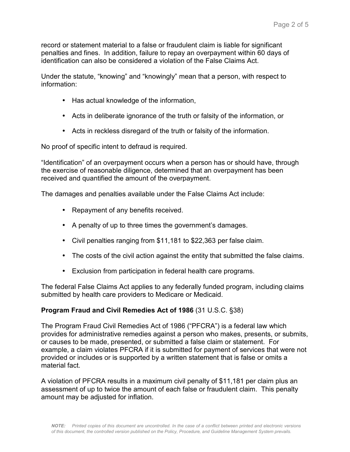record or statement material to a false or fraudulent claim is liable for significant penalties and fines. In addition, failure to repay an overpayment within 60 days of identification can also be considered a violation of the False Claims Act.

Under the statute, "knowing" and "knowingly" mean that a person, with respect to information:

- Has actual knowledge of the information,
- Acts in deliberate ignorance of the truth or falsity of the information, or
- Acts in reckless disregard of the truth or falsity of the information.

No proof of specific intent to defraud is required.

"Identification" of an overpayment occurs when a person has or should have, through the exercise of reasonable diligence, determined that an overpayment has been received and quantified the amount of the overpayment.

The damages and penalties available under the False Claims Act include:

- Repayment of any benefits received.
- A penalty of up to three times the government's damages.
- Civil penalties ranging from \$11,181 to \$22,363 per false claim.
- The costs of the civil action against the entity that submitted the false claims.
- Exclusion from participation in federal health care programs.

The federal False Claims Act applies to any federally funded program, including claims submitted by health care providers to Medicare or Medicaid.

## **Program Fraud and Civil Remedies Act of 1986** (31 U.S.C. §38)

The Program Fraud Civil Remedies Act of 1986 ("PFCRA") is a federal law which provides for administrative remedies against a person who makes, presents, or submits, or causes to be made, presented, or submitted a false claim or statement. For example, a claim violates PFCRA if it is submitted for payment of services that were not provided or includes or is supported by a written statement that is false or omits a material fact.

A violation of PFCRA results in a maximum civil penalty of \$11,181 per claim plus an assessment of up to twice the amount of each false or fraudulent claim. This penalty amount may be adjusted for inflation.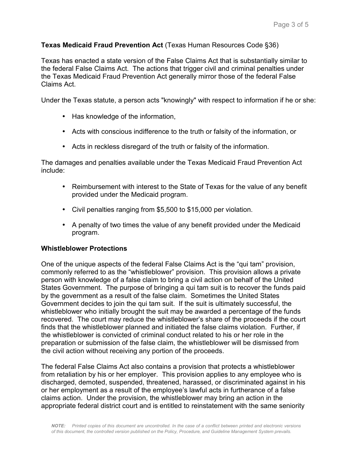## **Texas Medicaid Fraud Prevention Act** (Texas Human Resources Code §36)

Texas has enacted a state version of the False Claims Act that is substantially similar to the federal False Claims Act. The actions that trigger civil and criminal penalties under the Texas Medicaid Fraud Prevention Act generally mirror those of the federal False Claims Act.

Under the Texas statute, a person acts "knowingly" with respect to information if he or she:

- Has knowledge of the information,
- Acts with conscious indifference to the truth or falsity of the information, or
- Acts in reckless disregard of the truth or falsity of the information.

The damages and penalties available under the Texas Medicaid Fraud Prevention Act include:

- Reimbursement with interest to the State of Texas for the value of any benefit provided under the Medicaid program.
- Civil penalties ranging from \$5,500 to \$15,000 per violation.
- A penalty of two times the value of any benefit provided under the Medicaid program.

## **Whistleblower Protections**

One of the unique aspects of the federal False Claims Act is the "qui tam" provision, commonly referred to as the "whistleblower" provision. This provision allows a private person with knowledge of a false claim to bring a civil action on behalf of the United States Government. The purpose of bringing a qui tam suit is to recover the funds paid by the government as a result of the false claim. Sometimes the United States Government decides to join the qui tam suit. If the suit is ultimately successful, the whistleblower who initially brought the suit may be awarded a percentage of the funds recovered. The court may reduce the whistleblower's share of the proceeds if the court finds that the whistleblower planned and initiated the false claims violation. Further, if the whistleblower is convicted of criminal conduct related to his or her role in the preparation or submission of the false claim, the whistleblower will be dismissed from the civil action without receiving any portion of the proceeds.

The federal False Claims Act also contains a provision that protects a whistleblower from retaliation by his or her employer. This provision applies to any employee who is discharged, demoted, suspended, threatened, harassed, or discriminated against in his or her employment as a result of the employee's lawful acts in furtherance of a false claims action. Under the provision, the whistleblower may bring an action in the appropriate federal district court and is entitled to reinstatement with the same seniority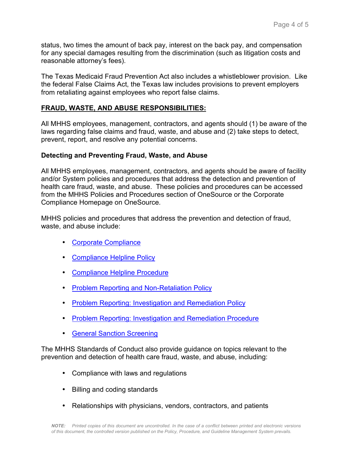status, two times the amount of back pay, interest on the back pay, and compensation for any special damages resulting from the discrimination (such as litigation costs and reasonable attorney's fees).

The Texas Medicaid Fraud Prevention Act also includes a whistleblower provision. Like the federal False Claims Act, the Texas law includes provisions to prevent employers from retaliating against employees who report false claims.

## **FRAUD, WASTE, AND ABUSE RESPONSIBILITIES:**

All MHHS employees, management, contractors, and agents should (1) be aware of the laws regarding false claims and fraud, waste, and abuse and (2) take steps to detect, prevent, report, and resolve any potential concerns.

## **Detecting and Preventing Fraud, Waste, and Abuse**

All MHHS employees, management, contractors, and agents should be aware of facility and/or System policies and procedures that address the detection and prevention of health care fraud, waste, and abuse. These policies and procedures can be accessed from the MHHS Policies and Procedures section of OneSource or the Corporate Compliance Homepage on OneSource*.*

MHHS policies and procedures that address the prevention and detection of fraud, waste, and abuse include:

- [Corporate Compliance](https://policytech.mhhs.org/docview/?docid=31045)
- [Compliance Helpline Policy](https://policytech.mhhs.org/docview/?docid=36879)
- Compliance Helpline Procedure
- [Problem Reporting and Non-Retaliation Policy](https://policytech.mhhs.org/docview/?docid=31588)
- [Problem Reporting: Investigation and Remediation Policy](https://policytech.mhhs.org/docview/?docid=31041)
- [Problem Reporting: Investigation and Remediation Procedure](https://policytech.mhhs.org/docview/?docid=35974)
- [General Sanction Screening](https://policytech.mhhs.org/docview/?docid=14087)

The MHHS Standards of Conduct also provide guidance on topics relevant to the prevention and detection of health care fraud, waste, and abuse, including:

- Compliance with laws and regulations
- Billing and coding standards
- Relationships with physicians, vendors, contractors, and patients